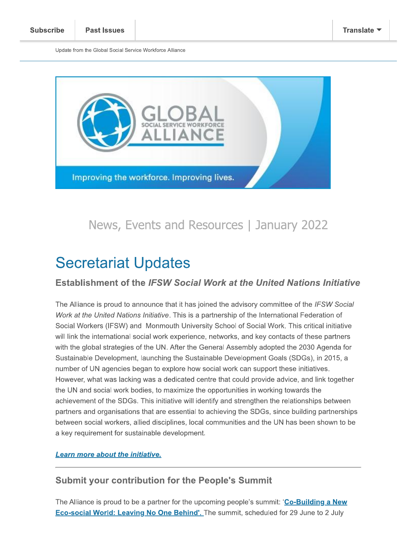Update from the Giobal Social Service Workforce Alliance



# Secretariat Updates

## Establishment of the IFSW Social Work at the United Nations Initiative

The Alliance is proud to announce that it has joined the advisory committee of the *IFSW Social* work at the United Nations Initiative. This is a partnership of the International Federation of Social Workers (IFSW) and Mohmouth University School of Social Work. This critical initiative will link the international social work experience, networks, and key contacts of these partners with the global strategles of the UN. After the General Assembly adopted the 2030 Agenda for  $\,$ Sustainable Development, launching the Sustainable Development Goals (SDGs), in 2015, a number of UN agencies began to explore now social work can support these initiatives. However, what was lacking was a dedicated centre that could provide advice, and link together the UN and social work bodies, to maximize the opportunities in working towards the  $\;$ achlevement of the SDGs. This initiative will identify and strengthen the relationships between partners and organisations that are essential to achieving the SDGs, since building partnerships between social workers, allied disciplines, local communities and the UN has been shown to be a key requirement for sustainable development.

#### Learn more about the initiative.

## **Submit your contribution for the People's Summit**

The Alliance is proud to be a partner for the upcoming people's summit: "Co-Bulliaing a New <u>Eco-social World: Leaving No One Benind:.</u> The summit, scheduled for 29 June to 2 July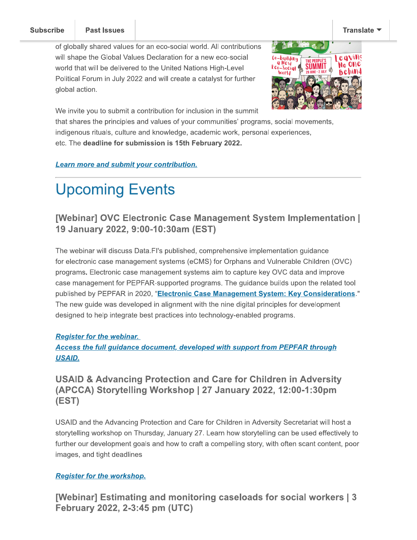#### **Subscribe**



We invite you to submit a contribution for inclusion in the summit

that shares the principles and values of your communities' programs, social movements, indigenous rituais, culture and knowledge, academic work, personal experiences, etc. The deadline for submission is 15th February 2022.

Learn more and submit your contribution.

## Upcoming Events

## [Webinar] OVC Electronic Case Management System Implementation [ 19 January 2022, 9:00-10:30am (EST)

The weblhar will discuss Data.FI's published, comprehensive implementation guidance Coming Events<br>
1997 - The Managementary 2022, 9:00-10:30am (EST)<br>
1997 - Saman (EST)<br>
1997 - Saman (EST)<br>
1997 - Saman (EST)<br>
1997 - Saman (EST)<br>
1997 - Saman (EST)<br>
1997 - Saman (ECMS) for Orph<br>
1997 - Saman (ECMS) for Or for electronic case management systems (eCMS) for Orphans and Vuinerable Children (OVC) programs. Electronic case management systems aim to capture key OVC data and improve case management for PEPFAR-supported programs. The guidance builds upon the related tool **Example 18 Alternation Case Management Sy<br>
January 2022, 9:00-10:30am (EST)**<br>
webinar will discuss Data.Fl's published, comprehensive impletertronic case management systems (eCMS) for Orphans and<br>
rams. Electronic case ma **19 January 2022, 9:00-10:30al**<br>The webinar will discuss Data.FI's publis<br>for electronic case management systems<br>programs. Electronic case management<br>case management for PEPFAR-supporte<br>published by PEPFAR in 2020, "**Elect** 2020, "Electronic Case Management System: Key Considerations." The new guide was developed in alignment with the nine digital principles for development designed to help integrate best practices into technology-enabled programs.

#### Register for the webinar.

### Access the full guidance document, developed with support from PEPFAR through USAID.

## USAID & Advancing Protection and Care for Children in Adversity  $(APCCA)$  Storytelling Workshop | 27 January 2022, 12:00-1:30pm  $(EST)$

USAID and the Advancing Protection and Care for Children in Adversity Secretariat will nost a storytelling workshop on Thursday, January 27. Learn how storytelling can be used effectively to further our development goals and how to craft a compelling story, with often scant content, poor images, and tight deadlines

#### **Register for the workshop.**

[Webinar] Estimating and monitoring caseloads for social workers | 3 February 2022, 2-3:45 pm (UTC)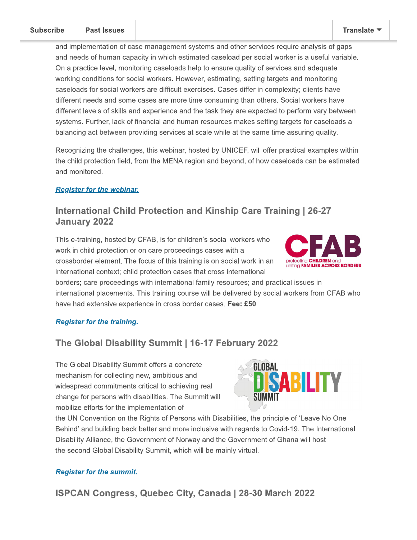and implementation of case management systems and other services require analysis of gaps and needs of human capacity in which estimated caseload per social worker is a useful variable. On a practice level, monitoring caseloads help to ensure quality of services and adequate working conditions for social workers. However, estimating, setting targets and monitoring caseloads for social workers are difficult exercises. Cases differ in complexity; clients have different needs and some cases are more time consuming than others. Social workers have different levels of skills and experience and the task they are expected to perform vary between systems. Further, lack of financial and human resources makes setting targets for caseloads a balancing act between providing services at scale while at the same time assuring quality.

Recognizing the challenges, this webinar, hosted by UNICEF, will offer practical examples within the child protection field, from the MENA region and beyond, of how caseloads can be estimated and monitored.

#### **Register for the webinar.**

## International Child Protection and Kinship Care Training | 26-27 **January 2022**

This e-training, hosted by CFAB, is for children's social workers who work in child protection or on care proceedings cases with a crossborder element. The focus of this training is on social work in an international context; child protection cases that cross international



borders; care proceedings with international family resources; and practical issues in international placements. This training course will be delivered by social workers from CFAB who have had extensive experience in cross border cases. Fee: £50

#### **Register for the training.**

## The Global Disability Summit | 16-17 February 2022

The Global Disability Summit offers a concrete mechanism for collecting new, ambitious and widespread commitments critical to achieving real change for persons with disabilities. The Summit will mobilize efforts for the implementation of



the UN Convention on the Rights of Persons with Disabilities, the principle of 'Leave No One Behind' and building back better and more inclusive with regards to Covid-19. The International Disability Alliance, the Government of Norway and the Government of Ghana will host the second Global Disability Summit, which will be mainly virtual.

#### **Register for the summit.**

**ISPCAN Congress, Quebec City, Canada | 28-30 March 2022**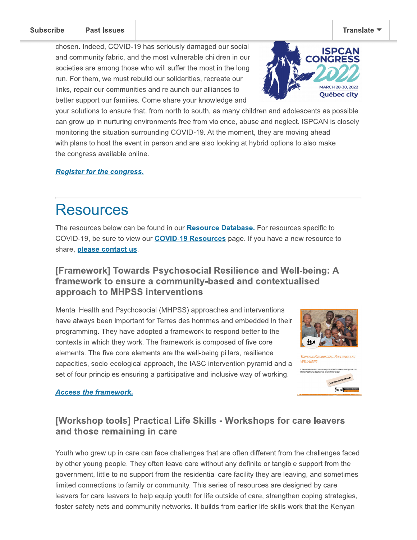**Subscribe** 

chosen. Indeed, COVID-19 has seriously damaged our social and community fabric, and the most vulnerable children in our societies are among those who will suffer the most in the long run. For them, we must rebuild our solidarities, recreate our links, repair our communities and relaunch our alliances to better support our families. Come share your knowledge and



your solutions to ensure that, from north to south, as many children and adolescents as possible can grow up in nurturing environments free from violence, abuse and neglect. ISPCAN is closely monitoring the situation surrounding COVID-19. At the moment, they are moving ahead with plans to host the event in person and are also looking at hybrid options to also make the congress available online.

#### **Register for the congress.**

## **Resources**

The resources below can be found in our **Resource Database**. For resources specific to COVID-19, be sure to view our **COVID-19 Resources** page. If you have a new resource to share, please contact us.

## [Framework] Towards Psychosocial Resilience and Well-being: A framework to ensure a community-based and contextualised approach to MHPSS interventions

Mental Health and Psychosocial (MHPSS) approaches and interventions have always been important for Terres des hommes and embedded in their programming. They have adopted a framework to respond better to the contexts in which they work. The framework is composed of five core elements. The five core elements are the well-being pillars, resilience capacities, socio-ecological approach, the IASC intervention pyramid and a set of four principles ensuring a participative and inclusive way of working.





#### **Access the framework.**

## [Workshop tools] Practical Life Skills - Workshops for care leavers and those remaining in care

Youth who grew up in care can face challenges that are often different from the challenges faced by other young people. They often leave care without any definite or tangible support from the government, little to no support from the residential care facility they are leaving, and sometimes limited connections to family or community. This series of resources are designed by care leavers for care leavers to help equip youth for life outside of care, strengthen coping strategies, foster safety nets and community networks. It builds from earlier life skills work that the Kenyan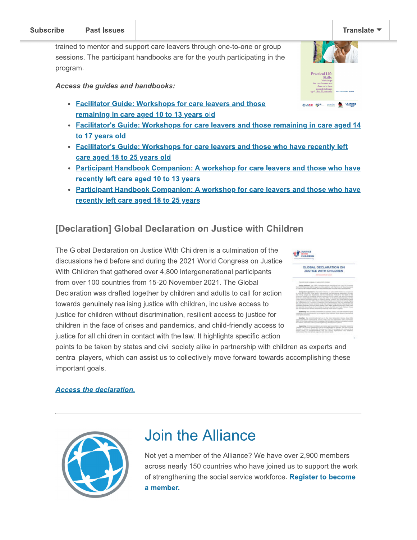#### **Subscribe** L. postupe and the particle particle in the set of the set of the set of the set of the set of the set of the set of the set of the set of the set of the set of the set of the set of the set of the set of the set of the set o

-

trained to mentor and support care leavers through one-to-one or group sessions. The participant handbooks are for the youth participating in the program. Subscribe<br>
Trained to mentor and support care leav<br>
sessions. The participant handbooks ar<br>
program.<br>
Access the guides and handbooks:<br>
• Facilitator Guide: Workshops f<br>
<u>Facilitator's Guide: Workshops</u><br>
to 17 years old<br>
•

 -

- Facilitator Guide: Workshops for care leavers and those remaining in care aged 10 to 13 years old
- Facilitator's Guide: Workshops for care leavers and those remaining in care aged 14 to 17 years old

 -

-

- Facilitator's Guide: Workshops for care leavers and those who have recently left care aged 18 to 25 years old
- Participant Handbook Companion: A workshop for care leavers and those who have recently left care aged 10 to 13 years
- Participant Handbook Companion: A workshop for care leavers and those who have recently left care aged 18 to 25 years

## [Declaration] Global Declaration on Justice with Children

The Global Declaration on Justice With Children is a culmination of the discussions held before and during the 2021 world Congress on Justice with Children that gathered over 4,800 intergenerational participants from over 100 countries from 15-20 November 2021. The Global Declaration was drafted together by children and adults to call for action towards genuinely realising justice with children, inclusive access to justice for children without discrimination, resilient access to justice for children in the face of crises and pandemics, and child-friendly access to justice for all children in contact with the law. It highlights specific action

points to be taken by states and civil society alike in partnership with children as experts and central players, which can assist us to collectively move forward towards accomplishing these important goais.

#### Access the declaration.

|--|

## Join the Alliance

Not yet a member of the Alliance? We have over 2,900 members across nearly 150 countries who have joined us to support the work or strengtnening the social service workforce. <u>Register to become</u> a member.



| GLOBAL DECLARATION ON<br><b>JUSTICE WITH CHILDREN</b>   |                                                                                                                                                                              |                          |
|---------------------------------------------------------|------------------------------------------------------------------------------------------------------------------------------------------------------------------------------|--------------------------|
|                                                         |                                                                                                                                                                              |                          |
|                                                         |                                                                                                                                                                              |                          |
| and think the property of the                           | a gankanade  en - L.B.EC (manualment-screen) controls are in each also is a<br>level about the transport and the potential charac-                                           |                          |
| to a strong the attraction of the                       | discover gives and inclusive civilization to<br>                                                                                                                             |                          |
|                                                         | <b><i>College Corp. And Audience St.</i></b><br>of hird all controls. First lights interacting the interaction business.                                                     |                          |
| And Figure & Artists and Museum shot.                   | and the chairman that meetings the day degree.<br>this and bound to the bulletin the barret and control of fraction with publicity and                                       |                          |
|                                                         | then the street fabiols challen's hural the tribe of the fabiolity teams taken of the<br>and fasters interface tommunic or statemed basical entance, the cross handed climat |                          |
|                                                         | declarings and in two site offices of the content fighting August concentrate<br>the Improvince for European Companisher and Derftspream and the Techniques for              | ter Art to reach Highes. |
|                                                         | Reported. And never exclusive documents unrest this exception of this Columb of Europea and the<br>will are home award Two Baker Mcharitie, prevails stack                   |                          |
|                                                         | perceives, the Committee collections the Clair and Hunt-Asia<br>advertised strength personal recognition of the financy Company.                                             |                          |
|                                                         | at the second constitutes is planned probably and boll research to                                                                                                           |                          |
| Lange in the costs and<br>color capitals and culprises. | is an object exploral of situation and allow                                                                                                                                 |                          |
|                                                         |                                                                                                                                                                              |                          |
| <b>Bookley</b> The List                                 | commentary and and its than follows<br>background Scottish State 40<br>blooks Dackstine Dealtsched Dacks; \$192 and Linia December (Next Alman                               |                          |
|                                                         | \$900 strike from president district secure that because or increasing products                                                                                              |                          |